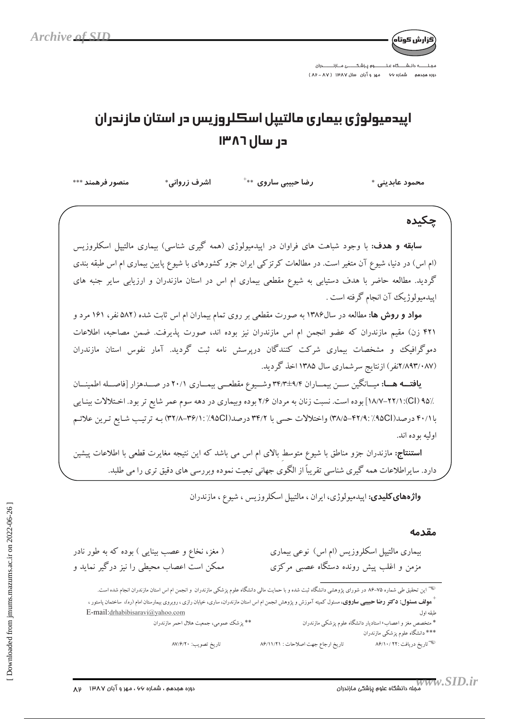

:وره هجدهم شماره ۶۶ مهر و آبان سال ۱۳۸۷ ( ۸۷ - ۸۳)

## اپيدميولوژي بيماري مالتيپل اسكلروزيس در استان مازندران در سال ۱۳۸۶

منصور فرهمند \*\*\* اشرف زروانی\* رضا حیبتی ساروی  $\ast\ast$ محمود عابديني \* حكىدە **سابقه و هدف:** با وجود شباهت های فراوان در اپیدمیولوژی (همه گیری شناسی) بیماری مالتیپل اسکلروزیس (ام اس) در دنیا، شیوع آن متغیر است. در مطالعات کرتزکی ایران جزو کشورهای با شیوع پایین بیماری ام اس طبقه بندی گردید. مطالعه حاضر با هدف دستیابی به شیوع مقطعی بیماری ام اس در استان مازندران و ارزیابی سایر جنبه های ابيدميولوژيک آن انجام گرفته است . مواد و روش ها: مطالعه در سال۱۳۸۶ به صورت مقطعی بر روی تمام بیماران ام اس ثابت شده (۵۸۲ نفر، ۱۶۱ مرد و ۴۲۱ زن) مقیم مازندران که عضو انجمن ام اس مازندران نیز بوده اند، صورت پذیرفت. ضمن مصاحبه، اطلاعات دموگرافیک و مشخصات بیماری شرکت کنندگان درپرسش نامه ثبت گردید. آمار نفوس استان مازندران (۸۹۳/۰۸۷نفر) ازنتایج سرشماری سال ۱۳۸۵ اخذ گردید. یافته هـا: میـانگین ســن بیمــاران ۳۴/۴±۹/۴ وشــیوع مقطعــی بیمــاری ۲۰/۱ در صــدهزار [فاصــله اطمینــان /۹۵/ (۲۲/۱:(Cl) بوده است. نسبت زنان به مردان ۲/۶ بوده وبیماری در دهه سوم عمر شایع تر بود. اختلالات بینایی با ۴۰/۱/ درصد(۳۸/۹۱/۱۹۵۲–۳۸/۵) واختلالات حسی با ۳۴/۲ درصد(۹۵CI/۱۲۶/۱۱/۳۶/۱) بـه ترتیب شـایع تـرین علائـم اوليه يو ده اند. **استنتاج:** مازندران جزو مناطق با شیوع متوسط بالای ام اس می باشد که این نتیجه مغایرت قطعی با اطلاعات پیشین دارد. سایراطلاعات همه گیری شناسی تقریباً از الگوی جهانی تبعیت نموده وبررسی های دقیق تری را می طلبد. واژههای کلیدی: اپیدمیولوژی، ایران ، مالتیپل اسکلروزیس ، شیوع ، مازندران مقدمه ( مغز، نخاع و عصب بینایی ) بوده که به طور نادر بیماری مالتیپل اسکلروزیس (ام اس) نوعی بیماری ممکن است اعصاب محیطی را نیز درگیر نماید و مزمن و اغلب پیش رونده دستگاه عصبی مرکزی <sup>ههس</sup> این تحقیق طی شماره ۷۵–۸۶ در شورای پژوهشی دانشگاه ثبت شده و با حمایت مالی دانشگاه علوم پزشکی مازندران استان مازندران انجام شده است. <sup>1</sup> ه**ولف هسئول: دكتر رضا حبيبي ساروي،** مسئول كميته آموزش و پژوهش انجمن ام اس استان مازندران، ساري، خيابان رازي ، روبروي بيمارستان امام (ره)، ساختمان پاستور ، E-mail:drhabibisaravi@yahoo.com طبقه اول \*\* يزشك عمومي، جمعيت هلال احمر مازندران \* متخصص مغز و اعصاب، استادیار دانشگاه علوم یزشکی مازندران \*\*\* دانشگاه علوم پزشکی مازندران <sup>پس</sup> تاریخ دریافت :۲۲ /۸۶/۱۰

تاريخ ارجاع جهت اصلاحات: ٨۶/١١/٢١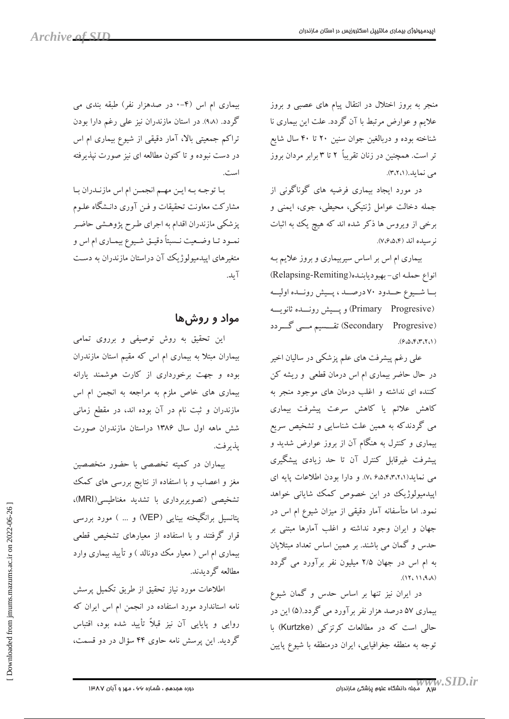منجر به بروز اختلال در انتقال پیام های عصبی و بروز علایم و عوارض مرتبط با آن گردد. علت این بیماری نا شناخته بوده و دربالغین جوان سنین ۲۰ تا ۴۰ سال شایع تر است. همچنین در زنان تقریباً ۲ تا ۳ برابر مردان بروز می نماید.(۳،۲،۱).

در مورد ایجاد بیماری فرضیه های گوناگونی از جمله دخالت عوامل ژنتیکی، محیطی، جوی، ایمنی و برخی از ویروس ها ذکر شده اند که هیچ یک به اثبات نوسىدە اند (٧،۶،۵،۴).

بیماری ام اس بر اساس سیربیماری و بروز علایم بـه انواع حمله ای-بهبودیابنده(Relapsing-Remiting) با شيوع حمدود ٧٠ درصـد، پيش رونـده اوليـه (Primary Progresive) ويسيش رونسده ثانويسه (Secondary Progresive) تقسسیم مسی گردد  $(9.00575)$ 

علی رغم پیشرفت های علم پزشکی در سالیان اخیر در حال حاضر بیماری ام اس درمان قطعی و ریشه کن کننده ای نداشته و اغلب درمان های موجود منجر به كاهش علائم يا كاهش سرعت پيشرفت بيمارى می گردندکه به همین علت شناسایی و تشخیص سریع بیماری و کنترل به هنگام آن از بروز عوارض شدید و پیشرفت غیرقابل کنترل آن تا حد زیادی پیشگیری می نماید(۴٬۴٬۲٬۱). و دارا بودن اطلاعات پایه ای اپیدمیولوژیک در این خصوص کمک شایانی خواهد نمود. اما متأسفانه آمار دقیقی از میزان شیوع ام اس در جهان و ایران وجود نداشته و اغلب آمارها مبتنی بر حدس و گمان می باشند. بر همین اساس تعداد مبتلایان به ام اس در جهان ۲/۵ میلیون نفر برآورد می گردد  $(11,11.9)$ 

در ایران نیز تنها بر اساس حدس و گمان شیوع بیماری ۵۷ درصد هزار نفر برآورد می گردد.(۵) این در حالی است که در مطالعات کرتزکی (Kurtzke) با توجه به منطقه جغرافیایی، ایران درمنطقه با شیوع پایین

بیماری ام اس (۴-۰ در صدهزار نفر) طبقه بندی می گردد. (۹۸). در استان مازندران نیز علی رغم دارا بودن تراکم جمعیتی بالا، آمار دقیقی از شیوع بیماری ام اس در دست نبوده و تا کنون مطالعه ای نیز صورت نپذیرفته است.

با توجه به اين مهم انجمن ام اس مازندران با مشارکت معاونت تحقیقات و فـن آوری دانـشگاه علـوم پزشکی مازندران اقدام به اجرای طرح پژوهشی حاضر نمـود تــا وضـعيت نــسبتاً دقيــق شــيوع بيمــاري ام اس و متغیرهای اپیدمیولوژیک آن دراستان مازندران به دست آ ىد.

## مواد و روشها

این تحقیق به روش توصیفی و برروی تمامی بیماران مبتلا به بیماری ام اس که مقیم استان مازندران بوده و جهت برخورداری از کارت هوشمند یارانه بیماری های خاص ملزم به مراجعه به انجمن ام اس مازندران و ثبت نام در آن بوده اند، در مقطع زمانی شش ماهه اول سال ۱۳۸۶ دراستان مازندران صورت ىذىر فت.

بیماران در کمیته تخصصی با حضور متخصصین مغز و اعصاب و با استفاده از نتایج بررسی های کمک تشخیصی (تصویربرداری با تشدید مغناطیسی(MRI)، یتانسیل برانگیخته بینایی (VEP) و … ) مورد بررسی قرار گرفتند و با استفاده از معیارهای تشخیص قطعی بیماری ام اس ( معیار مک دونالد ) و تأیید بیماری وارد مطالعه گے دىدند.

اطلاعات مورد نیاز تحقیق از طریق تکمیل پرسش نامه استاندارد مورد استفاده در انجمن ام اس ایران که روایی و پایایی آن نیز قبلاً تأیید شده بود، اقتباس گردید. این پرسش نامه حاوی ۴۴ سؤال در دو قسمت،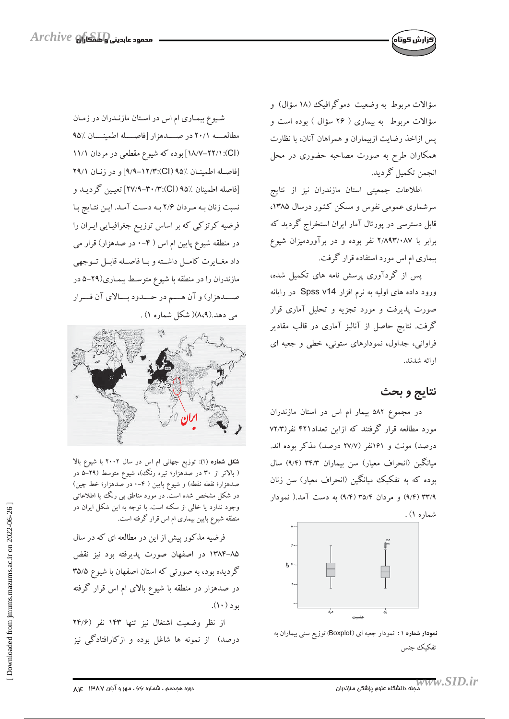

سؤالات مربوط به وضعیت دموگرافیک (۱۸ سؤال) و سؤالات مربوط به بیماری ( ۲۶ سؤال ) بوده است و يس ازاخذ رضايت ازبيماران و همراهان آنان، با نظارت همکاران طرح به صورت مصاحبه حضوری در محل انجمن تكميل گرديد.

اطلاعات جمعیتی استان مازندران نیز از نتایج سرشماری عمومی نفوس و مسکن کشور درسال ۱۳۸۵، قابل دسترسی در پورتال آمار ایران استخراج گردید که برابر با ۲/۸۹۳/۰۸۷ نفر بوده و در برآوردمیزان شیوع بیماری ام اس مورد استفاده قرار گرفت.

یس از گردآوری پرسش نامه های تکمیل شده، ورود داده های اولیه به نرم افزار Spss v14 در رایانه صورت پذیرفت و مورد تجزیه و تحلیل آماری قرار گرفت. نتایج حاصل از آنالیز آماری در قالب مقادیر فراوانی، جداول، نمودارهای ستونی، خطی و جعبه ای ار ائه شدند.

## نتايج و بحث

در مجموع ۵۸۲ بیمار ام اس در استان مازندران مورد مطالعه قرار گرفتند که ازاین تعداد۴۲۱ نفر(۷۲/۳ درصد) مونث و ۱۶۱نفر (۲۷/۷ درصد) مذکر بوده اند. میانگین (انحراف معیار) سن بیماران ۳۴/۳ (۹/۴) سال بوده که به تفکیک میانگین (انحراف معیار) سن زنان ۹/۴) ۳۳/۹ (۹/۴) و مردان ۳۵/۴ (۹/۴) به دست آمد.( نمودار شماره ۱) .



نمودار شماره ۱: نمودار جعبه ای (Boxplot) توزیع سنی بیماران به تفكيك جنس

شیوع بیماری ام اس در استان مازنـدران در زمـان مطالعه ٢٠/١ در صحدهزار [فاصطله اطمينــان /٩٥ (Cl): ۱۸/۷-۲۲/۱) بوده که شیوع مقطعی در مردان ۱۱/۱ [فاصله اطمينان ٪۹۵ (Cl):۹/۳-١٢/٣] و در زنان ٢٩/١ [فاصله اطمينان ٪۹۵ (Cl):۰٫۳۰/۳۰/۳ تعيين گرديـد و نسبت زنان به مردان ٢/۶ به دست آمد. این نتایج با فرضیه کرتزکی که بر اساس توزیـع جغرافیـایی ایـران را در منطقه شیوع پایین ام اس ( ۴–۰ در صدهزار) قرار می داد مغـايرت كامــل داشــته و بــا فاصــله قابــل تــوجهي مازندران را در منطقه با شیوع متوسط بیمـاری(۲۹-۵ در صــــدهزار) و آن هــــم در حــــدود بـــالاي آن قــــرار می دهد.(۸،۹)( شکل شماره ۱) .



شکل شماره (۱): توزیع جهانی ام اس در سال ۲۰۰۲ با شیوع بالا ( بالاتر از ۳۰ در صدَّهزار؛ تیره رنگ،)، شیوع متوسط (۲۹–۵ در صدهزار؛ نقطه نقطه) و شیوع پایین ( ۴–۰ در صدهزار؛ خط چین) در شکل مشخص شده است. در مورد مناطق بی رنگ یا اطلاعاتی وجود ندارد یا خالی از سکنه است. با توجه به این شکل ایران در منطقه شیوع پایین بیماری ام اس قرار گرفته است.

فرضیه مذکور پیش از این در مطالعه ای که در سال ۸۵–۱۳۸۴ در اصفهان صورت پذیرفته بود نیز نقض گردیده بود، به صورتی که استان اصفهان با شیوع ۳۵/۵ در صدهزار در منطقه با شیوع بالای ام اس قرار گرفته  $( \wedge \cdot )$  بو د

از نظر وضعیت اشتغال نیز تنها ۱۴۳ نفر (۲۴/۶ درصد) از نمونه ها شاغل بوده و ازکارافتادگی نیز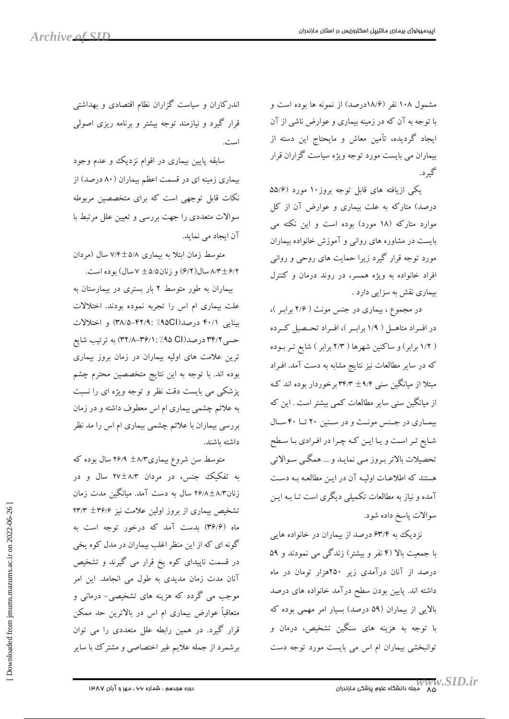مشمول ۱۰۸ نفر (۱۸/۶درصد) از نمونه ها بوده است و با توجه به آن که در زمینه بیماری و عوارض ناشی از آن ایجاد گردیده، تأمین معاش و مایحتاج این دسته از بیماران می بایست مورد توجه ویژه سیاست گزاران قرار گیرد.

یکی ازیافته های قابل توجه بروز ۱۰ مورد (۵۵/۶ درصد) متارکه به علت بیماری و عوارض آن از کل موارد متارکه (۱۸ مورد) بوده است و این نکته می بایست در مشاوره های روانی و آموزش خانواده بیماران مورد توجه قرار گیرد زیرا حمایت های روحی و روانی افراد خانواده به ویژه همسر، در روند درمان و کنترل بیماری نقش به سزایی دارد .

در مجموع، بیماری در جنس مونث ( ۲/۶ برابر )، در افـراد متاهـل ( ١/٩ برابـر )، افـراد تحـصيل كـرده ( ۱/۲ برابر) و ساکنین شهرها ( ۲/۳ برابر ) شایع تـر بـوده که در سایر مطالعات نیز نتایج مشابه به دست آمد. افـراد مبتلا از میانگین سنبی ۹/۴ ± ۳۴/۳ برخوردار بوده اند کـه از میانگین سنی سایر مطالعات کمی بیشتر است . این که بیماری در جنس مونث و در سنین ٢٠ تا ۴٠ سال شایع تر است و یا این که چرا در افرادی با سطح تحصيلات بالاتر بـروز مـي نمايـد و ... همگــي سـوالاتي هستند که اطلاعـات اولیـه آن در ایـن مطالعـه بـه دسـت آمده و نیاز به مطالعات تکمیلی دیگری است تـا بـه ایـن سوالات پاسخ داده شود.

نزدیک به ۶۳/۴ درصد از بیماران در خانواده هایی با جمعیت بالا (۴ نفر و بیشتر) زندگی می نمودند و ۵۹ درصد از آنان درآمدی زیر ۲۵۰هزار تومان در ماه داشته اند. پایین بودن سطح درآمد خانواده های درصد بالایی از بیماران (۵۹ درصد) بسیار امر مهمی بوده که با توجه به هزینه های سنگین تشخیص، درمان و نوانبخشی بیماران ام اس می بایست مورد توجه دست

اندرکاران و سیاست گزاران نظام اقتصادی و بهداشتی قرار گیرد و نیازمند توجه بیشتر و برنامه ریزی اصولی است.

سابقه پایین بیماری در اقوام نزدیک و عدم وجود بیماری زمینه ای در قسمت اعظم بیماران (۸۰ درصد) از نکات قابل توجهی است که برای متخصصین مربوطه سوالات متعددی را جهت بررسی و تعیین علل مرتبط با آن ایجاد می نماید.

متوسط زمان ابتلا به بیماری ۵/۸±۷/۴ سال (مردان ۶/۲ + ۸/۳ سال (۶/۲) و زنان ۵/۵ + ۷ سال) بو ده است.

بیماران به طور متوسط ۲ بار بستری در بیمارستان به علت بیماری ام اس را تجربه نموده بودند. اختلالات بینایی ۴۰/۱ درصد(۹۵CI)۹۵٪ :۴۸/۵-۴۲/۹) و اختلالات حسی ۳۴/۲ درصد(۹۵ ۹۵٪ : ۳۶/۱٪–۳۲/۸) به ترتیب شایع ترین علامت های اولیه بیماران در زمان بروز بیماری بوده اند. با توجه به این نتایج متخصصین محترم چشم پزشکی می بایست دقت نظر و توجه ویژه ای را نسبت به علائم چشمی بیماری ام اس معطوف داشته و در زمان بررسی بیماران با علائم چشمی بیماری ام اس را مد نظر داشته باشند.

متوسط سن شروع بیماری۸/۳ ×۲۶/۹ سال بوده که به تفکیک جنس، در مردان ۲۷±۲۷ سال و در زنان۸/۳±۲۶/۸ سال به دست آمد. میانگین مدت زمان تشخیص بیماری از بروز اولین علامت نیز ۳۶/۶+ ۲۳/۳ ماه (۳۶/۶) بدست آمد که درخور توجه است به گونه ای که از این منظر اغلب بیماران در مدل کوه یخی در قسمت ناپیدای کوه یخ قرار می گیرند و تشخیص آنان مدت زمان مدیدی به طول می انجامد. این امر موجب مي گردد که هزينه هاي تشخيصي- درماني و متعاقباً عوارض بیماری ام اس در بالاترین حد ممکن قرار گیرد. در همین رابطه علل متعددی را می توان برشمرد از جمله علایم غیر اختصاصی و مشترک با سایر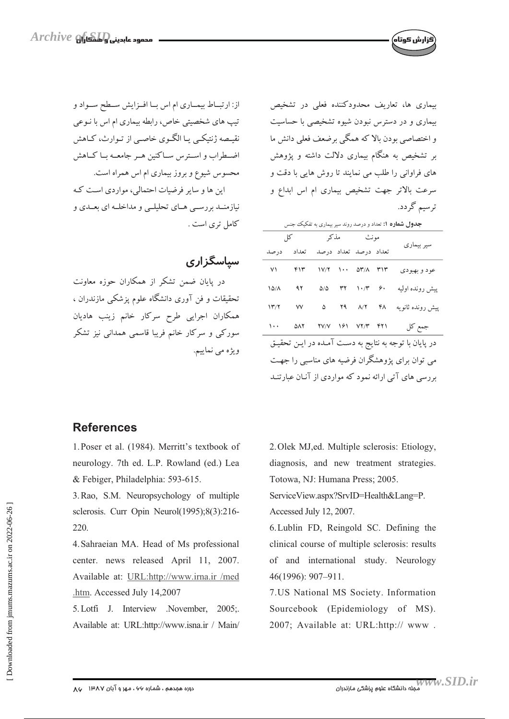از: ارتباط بیماری ام اس با افزایش سطح سواد و تیپ های شخصیتی خاص، رابطه بیماری ام اس با نـوعی نقیصه ژنتیکی یا الگوی خاصبی از تـوارث، کـاهش اضطراب و استرس سیاکنین هیر جامعیه بیا کیاهش محسوس شیوع و بروز بیماری ام اس همراه است. این ها و سایر فرضیات احتمالی، مواردی است که

نیازمنــد بررســي هــاي تحليلــي و مداخلــه اي بعــدي و كامل ترى است .

سیاسگزاری

در پایان ضمن تشکر از همکاران حوزه معاونت تحقیقات و فن آوری دانشگاه علوم پزشکی مازندران ، همکاران اجرایی طرح سرکار خانم زینب هادیان سورکی و سرکار خانم فریبا قاسمی همدانی نیز تشکر ويژه مې نماييم.

بیماری ها، تعاریف محدودکننده فعلی در تشخیص بیماری و در دسترس نبودن شیوه تشخیصی با حساسیت و اختصاصی بودن بالا که همگی برضعف فعلی دانش ما بر تشخیص به هنگام بیماری دلالت داشته و پژوهش های فراوانی را طلب می نمایند تا روش هایی با دقت و سرعت بالاتر جهت تشخیص بیماری ام اس ابداع و ترسیم گردد.

ارش کوتاه)

| <b>جدول شماره ۱:</b> تعداد و درصد روند سیر بیماری به تفکیک جنس |       |              |  |                                                                                                                              |  |                                                      |
|----------------------------------------------------------------|-------|--------------|--|------------------------------------------------------------------------------------------------------------------------------|--|------------------------------------------------------|
|                                                                |       | مونث مذکر کل |  |                                                                                                                              |  |                                                      |
| درصد                                                           | تعداد |              |  | تعداد درصد تعداد درصد                                                                                                        |  | سیر بیماری                                           |
| ٧١                                                             | ۴۱۳   |              |  | $\frac{1}{\sqrt{7}}$ $\cdots$ $\frac{1}{\sqrt{7}}$ $\cdots$ $\frac{1}{\sqrt{7}}$                                             |  | عود و بهبودي                                         |
| 1511                                                           | ۹۲    |              |  | $\Delta/\Delta$ $\Upsilon\Upsilon$ $\Upsilon/\Upsilon$ $\varphi$ .                                                           |  | پیش رونده اولیه                                      |
| ۱۳/۲                                                           | ٧V    |              |  | $\Delta$ $\gamma$ $\gamma$ $\gamma$ $\gamma$                                                                                 |  | پیش رونده ثانویه                                     |
| $\cdots$                                                       | ΔΛ٢   |              |  | $\mathsf{YV}/\mathsf{V} = \mathsf{Y}\mathsf{S}\mathsf{V} = \mathsf{Y}\mathsf{Y}/\mathsf{Y} = \mathsf{Y}\mathsf{Y}\mathsf{V}$ |  | جمع کل                                               |
| در پایان با توجه به نتایج به دسـت آمـده در ایـن تحقیـق         |       |              |  |                                                                                                                              |  |                                                      |
| می توان برای پژوهشگران فرضیه های مناسبی را جهت                 |       |              |  |                                                                                                                              |  |                                                      |
|                                                                |       |              |  |                                                                                                                              |  | بررسی های آتی ارائه نمود که مواردی از آنـان عبارتنـد |

## **References**

1. Poser et al. (1984). Merritt's textbook of neurology. 7th ed. L.P. Rowland (ed.) Lea & Febiger, Philadelphia: 593-615.

3. Rao, S.M. Neuropsychology of multiple sclerosis. Curr Opin Neurol(1995);8(3):216-220.

4. Sahraeian MA. Head of Ms professional center. news released April 11, 2007. Available at: URL:http://www.irna.ir /med .htm. Accessed July 14,2007

5. Lotfi J. Interview . November, 2005; Available at: URL:http://www.isna.ir / Main/

2. Olek MJ, ed. Multiple sclerosis: Etiology, diagnosis, and new treatment strategies. Totowa, NJ: Humana Press; 2005.

ServiceView.aspx?SrvID=Health&Lang=P. Accessed July 12, 2007.

6. Lublin FD, Reingold SC. Defining the clinical course of multiple sclerosis: results of and international study. Neurology 46(1996): 907-911.

7.US National MS Society. Information Sourcebook (Epidemiology of MS). 2007; Available at: URL:http:// www.